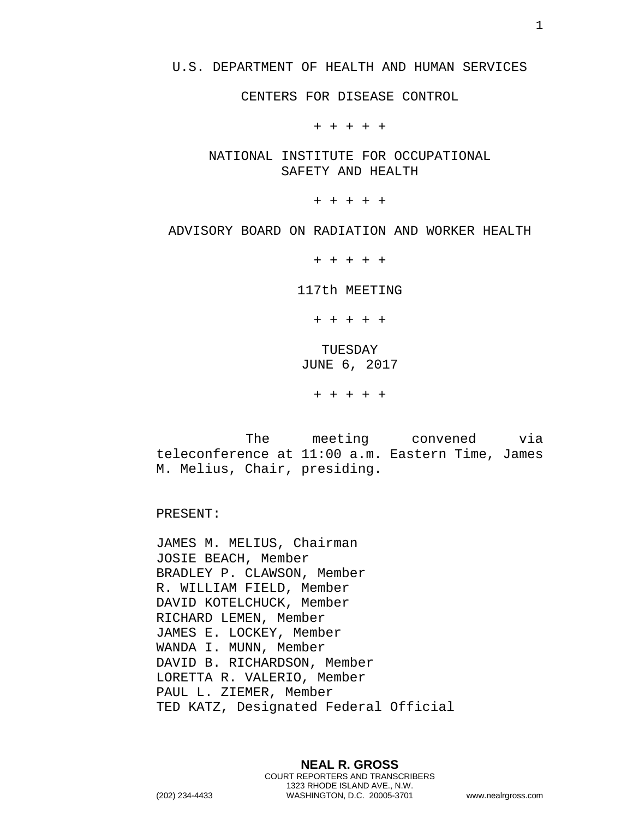#### U.S. DEPARTMENT OF HEALTH AND HUMAN SERVICES

CENTERS FOR DISEASE CONTROL

+ + + + +

NATIONAL INSTITUTE FOR OCCUPATIONAL SAFETY AND HEALTH

+ + + + +

#### ADVISORY BOARD ON RADIATION AND WORKER HEALTH

+ + + + +

117th MEETING

+ + + + + TUESDAY JUNE 6, 2017

+ + + + +

The meeting convened via teleconference at 11:00 a.m. Eastern Time, James M. Melius, Chair, presiding.

PRESENT:

JAMES M. MELIUS, Chairman JOSIE BEACH, Member BRADLEY P. CLAWSON, Member R. WILLIAM FIELD, Member DAVID KOTELCHUCK, Member RICHARD LEMEN, Member JAMES E. LOCKEY, Member WANDA I. MUNN, Member DAVID B. RICHARDSON, Member LORETTA R. VALERIO, Member PAUL L. ZIEMER, Member TED KATZ, Designated Federal Official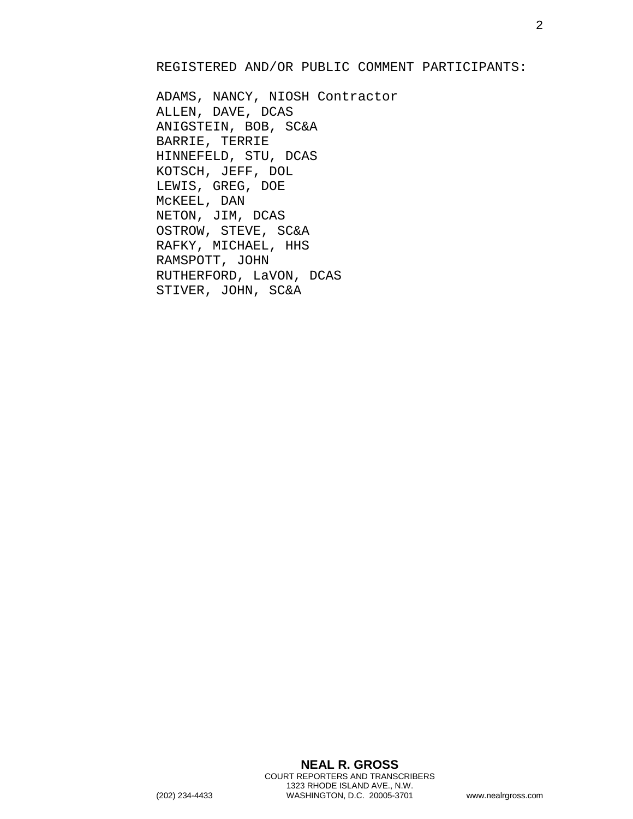### REGISTERED AND/OR PUBLIC COMMENT PARTICIPANTS:

ADAMS, NANCY, NIOSH Contractor ALLEN, DAVE, DCAS ANIGSTEIN, BOB, SC&A BARRIE, TERRIE HINNEFELD, STU, DCAS KOTSCH, JEFF, DOL LEWIS, GREG, DOE McKEEL, DAN NETON, JIM, DCAS OSTROW, STEVE, SC&A RAFKY, MICHAEL, HHS RAMSPOTT, JOHN RUTHERFORD, LaVON, DCAS STIVER, JOHN, SC&A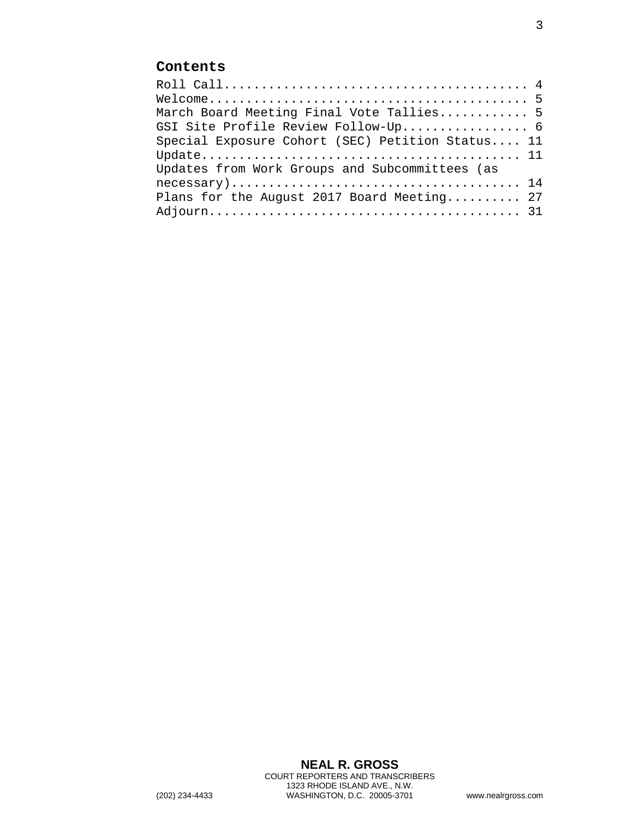# **Contents**

| March Board Meeting Final Vote Tallies 5         |
|--------------------------------------------------|
| GSI Site Profile Review Follow-Up 6              |
| Special Exposure Cohort (SEC) Petition Status 11 |
|                                                  |
| Updates from Work Groups and Subcommittees (as   |
|                                                  |
| Plans for the August 2017 Board Meeting 27       |
|                                                  |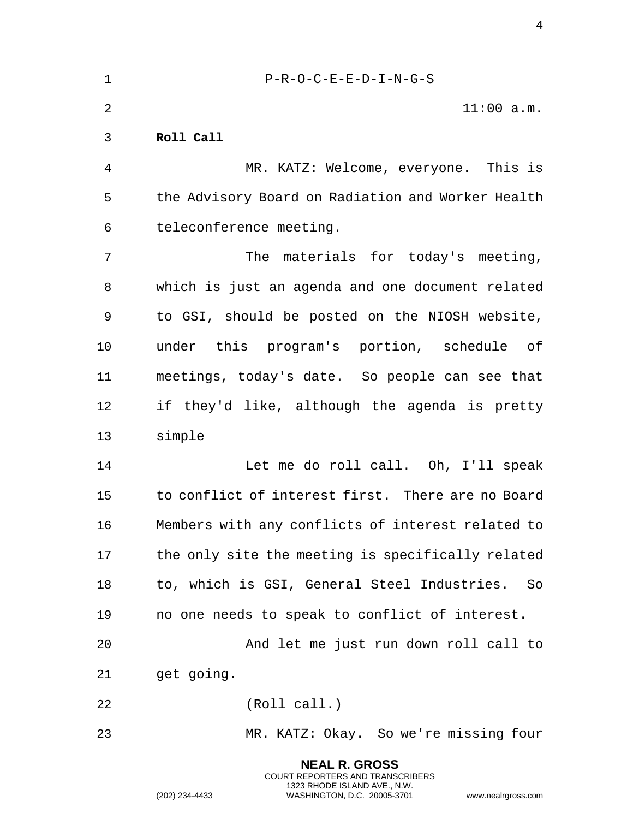<span id="page-3-0"></span>

| $\mathbf 1$    | $P-R-O-C-E-E-D-I-N-G-S$                           |
|----------------|---------------------------------------------------|
| 2              | $11:00$ a.m.                                      |
| 3              | Roll Call                                         |
| $\overline{4}$ | MR. KATZ: Welcome, everyone. This is              |
| 5              | the Advisory Board on Radiation and Worker Health |
| 6              | teleconference meeting.                           |
| 7              | materials for today's meeting,<br>The             |
| 8              | which is just an agenda and one document related  |
| 9              | to GSI, should be posted on the NIOSH website,    |
| 10             | under this program's portion, schedule of         |
| 11             | meetings, today's date. So people can see that    |
| 12             | if they'd like, although the agenda is pretty     |
| 13             | simple                                            |
| 14             | Let me do roll call. Oh, I'll speak               |
| 15             | to conflict of interest first. There are no Board |
| 16             | Members with any conflicts of interest related to |
| 17             | the only site the meeting is specifically related |
| 18             | to, which is GSI, General Steel Industries.<br>So |
| 19             | no one needs to speak to conflict of interest.    |
| 20             | And let me just run down roll call to             |
| 21             | get going.                                        |
| 22             | (Roll call.)                                      |
| 23             | MR. KATZ: Okay. So we're missing four             |
|                | <b>NEAL R. GROSS</b>                              |

COURT REPORTERS AND TRANSCRIBERS 1323 RHODE ISLAND AVE., N.W.

(202) 234-4433 WASHINGTON, D.C. 20005-3701 www.nealrgross.com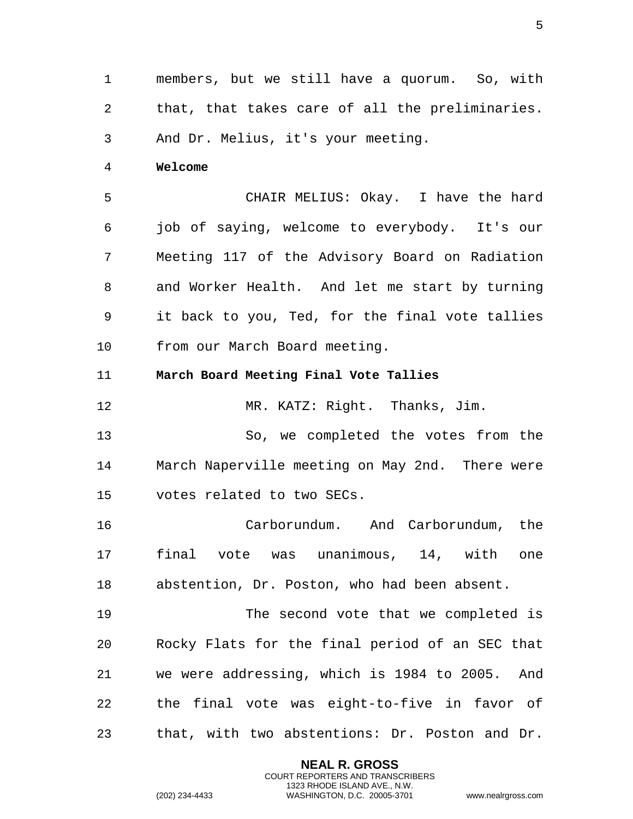1 members, but we still have a quorum. So, with 2 that, that takes care of all the preliminaries. 3 And Dr. Melius, it's your meeting.

<span id="page-4-0"></span>4 **Welcome** 

5 CHAIR MELIUS: Okay. I have the hard 6 job of saying, welcome to everybody. It's our 7 Meeting 117 of the Advisory Board on Radiation 8 and Worker Health. And let me start by turning 9 it back to you, Ted, for the final vote tallies 10 from our March Board meeting.

<span id="page-4-1"></span>11 **March Board Meeting Final Vote Tallies** 

12 MR. KATZ: Right. Thanks, Jim.

13 So, we completed the votes from the 14 March Naperville meeting on May 2nd. There were 15 votes related to two SECs.

16 Carborundum. And Carborundum, the 17 final vote was unanimous, 14, with one 18 abstention, Dr. Poston, who had been absent.

19 The second vote that we completed is 20 Rocky Flats for the final period of an SEC that 21 we were addressing, which is 1984 to 2005. And 22 the final vote was eight-to-five in favor of 23 that, with two abstentions: Dr. Poston and Dr.

> **NEAL R. GROSS** COURT REPORTERS AND TRANSCRIBERS 1323 RHODE ISLAND AVE., N.W.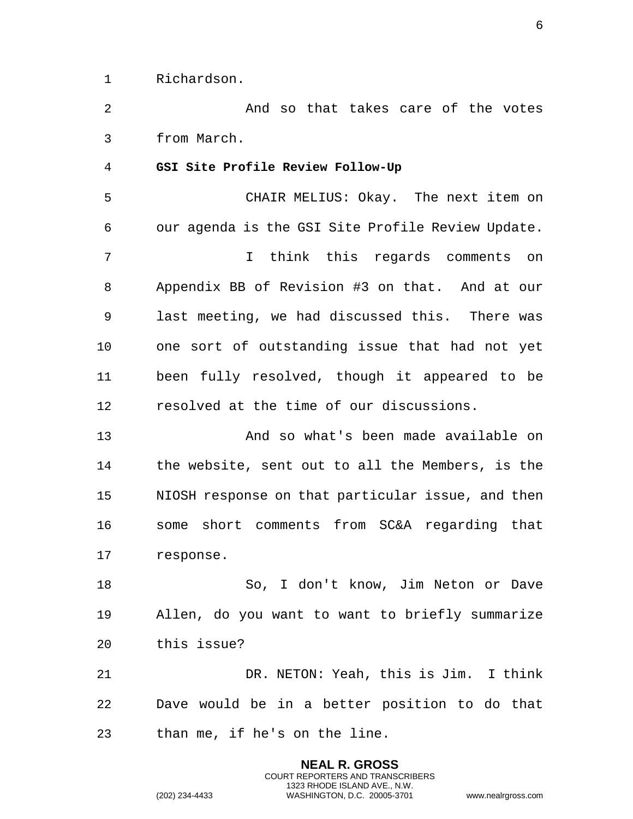1 Richardson.

2 And so that takes care of the votes 3 from March.

<span id="page-5-0"></span>4 **GSI Site Profile Review Follow-Up** 

5 CHAIR MELIUS: Okay. The next item on 6 our agenda is the GSI Site Profile Review Update. 7 I think this regards comments on 8 Appendix BB of Revision #3 on that. And at our 9 last meeting, we had discussed this. There was 10 one sort of outstanding issue that had not yet 11 been fully resolved, though it appeared to be 12 resolved at the time of our discussions.

13 And so what's been made available on 14 the website, sent out to all the Members, is the 15 NIOSH response on that particular issue, and then 16 some short comments from SC&A regarding that 17 response.

18 So, I don't know, Jim Neton or Dave 19 Allen, do you want to want to briefly summarize 20 this issue?

21 DR. NETON: Yeah, this is Jim. I think 22 Dave would be in a better position to do that 23 than me, if he's on the line.

> **NEAL R. GROSS** COURT REPORTERS AND TRANSCRIBERS 1323 RHODE ISLAND AVE., N.W.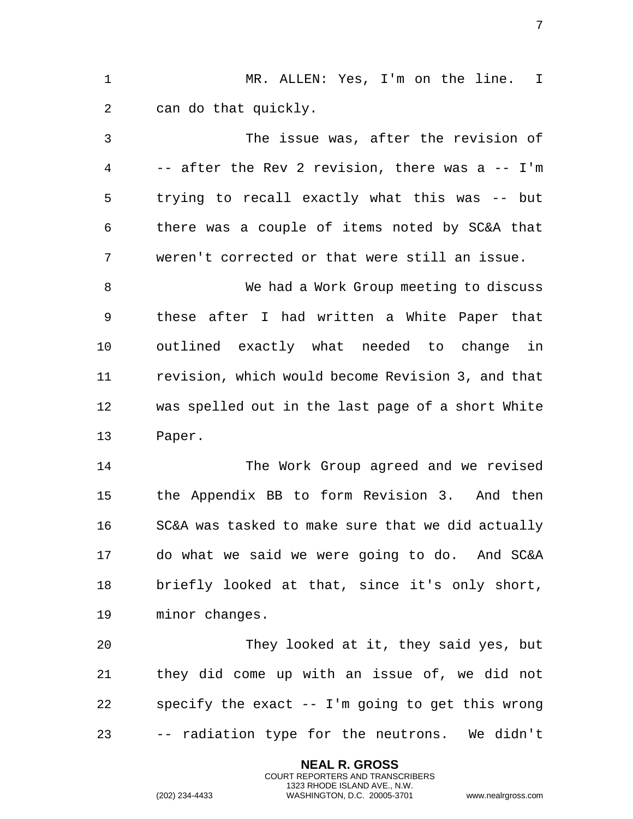1 MR. ALLEN: Yes, I'm on the line. I 2 can do that quickly. 3 The issue was, after the revision of 4 -- after the Rev 2 revision, there was a -- I'm 5 trying to recall exactly what this was -- but 6 there was a couple of items noted by SC&A that 7 weren't corrected or that were still an issue. 8 We had a Work Group meeting to discuss 9 these after I had written a White Paper that 10 outlined exactly what needed to change in 11 revision, which would become Revision 3, and that 12 was spelled out in the last page of a short White 13 Paper. 14 The Work Group agreed and we revised 15 the Appendix BB to form Revision 3. And then 16 SC&A was tasked to make sure that we did actually 17 do what we said we were going to do. And SC&A 18 briefly looked at that, since it's only short,

19 minor changes.

20 They looked at it, they said yes, but 21 they did come up with an issue of, we did not 22 specify the exact -- I'm going to get this wrong 23 -- radiation type for the neutrons. We didn't

> **NEAL R. GROSS** COURT REPORTERS AND TRANSCRIBERS 1323 RHODE ISLAND AVE., N.W.

(202) 234-4433 WASHINGTON, D.C. 20005-3701 www.nealrgross.com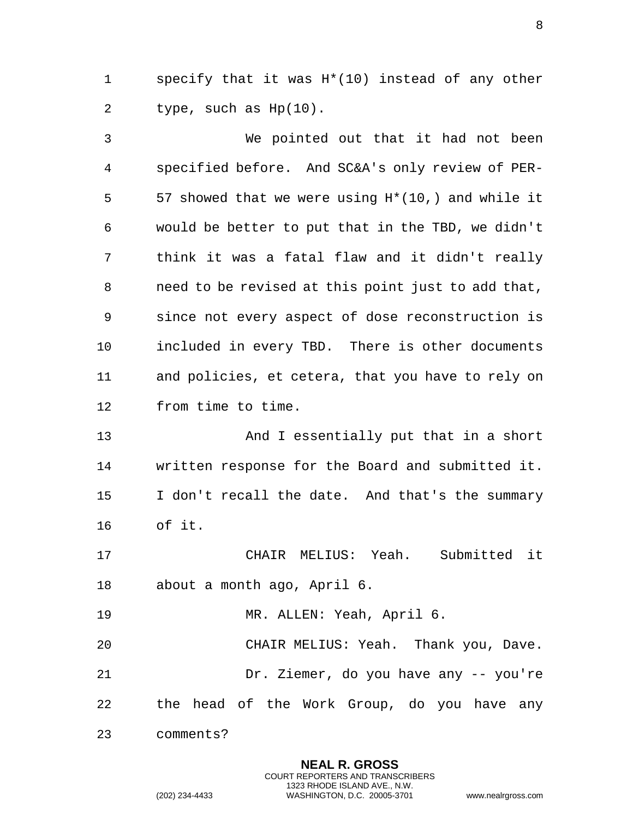1 specify that it was H\*(10) instead of any other 2 type, such as Hp(10).

3 We pointed out that it had not been 4 specified before. And SC&A's only review of PER-5 57 showed that we were using H\*(10,) and while it 6 would be better to put that in the TBD, we didn't 7 think it was a fatal flaw and it didn't really 8 need to be revised at this point just to add that, 9 since not every aspect of dose reconstruction is 10 included in every TBD. There is other documents 11 and policies, et cetera, that you have to rely on 12 from time to time.

13 And I essentially put that in a short 14 written response for the Board and submitted it. 15 I don't recall the date. And that's the summary 16 of it.

17 CHAIR MELIUS: Yeah. Submitted it 18 about a month ago, April 6.

19 MR. ALLEN: Yeah, April 6.

20 CHAIR MELIUS: Yeah. Thank you, Dave. 21 Dr. Ziemer, do you have any -- you're 22 the head of the Work Group, do you have any

> **NEAL R. GROSS** COURT REPORTERS AND TRANSCRIBERS 1323 RHODE ISLAND AVE., N.W.

23 comments?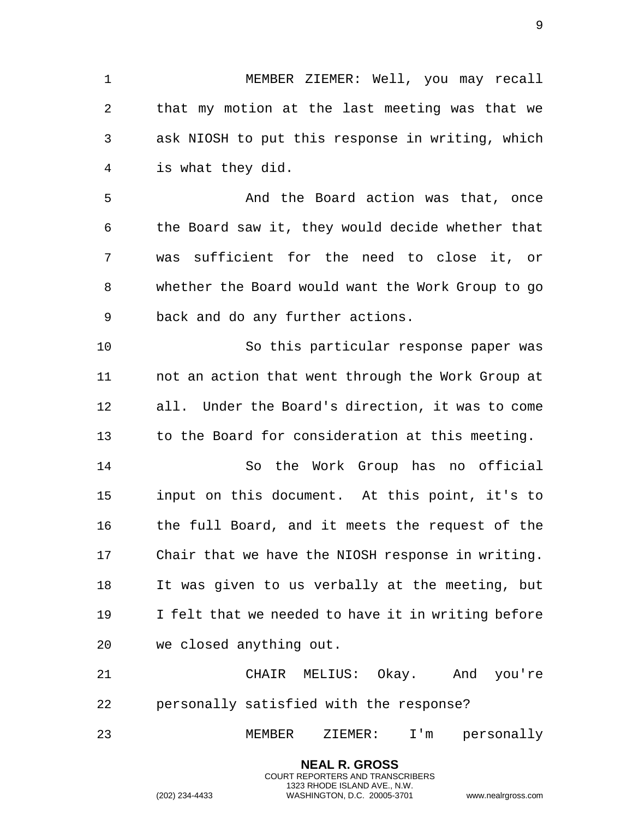1 MEMBER ZIEMER: Well, you may recall 2 that my motion at the last meeting was that we 3 ask NIOSH to put this response in writing, which 4 is what they did.

5 And the Board action was that, once 6 the Board saw it, they would decide whether that 7 was sufficient for the need to close it, or 8 whether the Board would want the Work Group to go 9 back and do any further actions.

10 So this particular response paper was 11 not an action that went through the Work Group at 12 all. Under the Board's direction, it was to come 13 to the Board for consideration at this meeting.

14 So the Work Group has no official 15 input on this document. At this point, it's to 16 the full Board, and it meets the request of the 17 Chair that we have the NIOSH response in writing. 18 It was given to us verbally at the meeting, but 19 I felt that we needed to have it in writing before 20 we closed anything out.

21 CHAIR MELIUS: Okay. And you're 22 personally satisfied with the response?

23 MEMBER ZIEMER: I'm personally

**NEAL R. GROSS** COURT REPORTERS AND TRANSCRIBERS 1323 RHODE ISLAND AVE., N.W.

(202) 234-4433 WASHINGTON, D.C. 20005-3701 www.nealrgross.com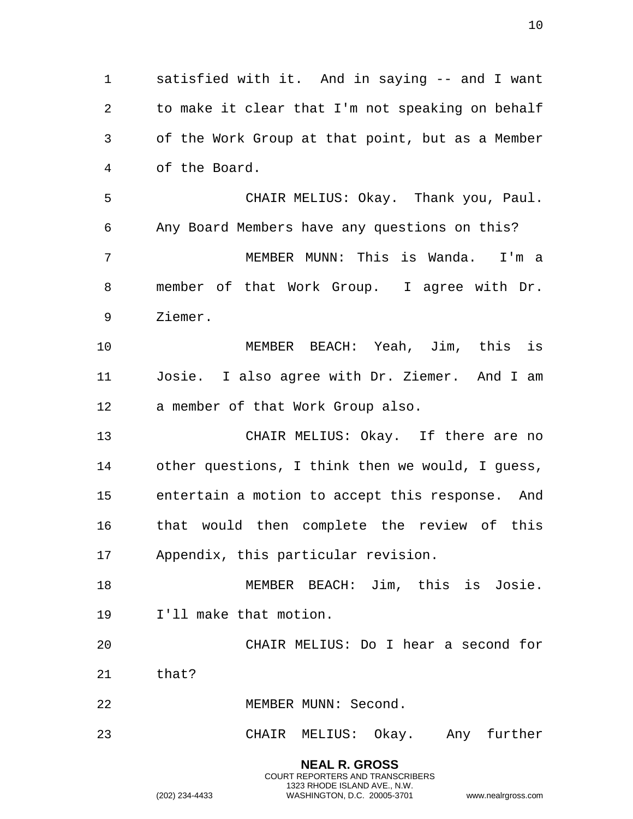**NEAL R. GROSS** 1 satisfied with it. And in saying -- and I want 2 to make it clear that I'm not speaking on behalf 3 of the Work Group at that point, but as a Member 4 of the Board. 5 CHAIR MELIUS: Okay. Thank you, Paul. 6 Any Board Members have any questions on this? 7 MEMBER MUNN: This is Wanda. I'm a 8 member of that Work Group. I agree with Dr. 9 Ziemer. 10 MEMBER BEACH: Yeah, Jim, this is 11 Josie. I also agree with Dr. Ziemer. And I am 12 a member of that Work Group also. 13 CHAIR MELIUS: Okay. If there are no 14 other questions, I think then we would, I guess, 15 entertain a motion to accept this response. And 16 that would then complete the review of this 17 Appendix, this particular revision. 18 MEMBER BEACH: Jim, this is Josie. 19 I'll make that motion. 20 CHAIR MELIUS: Do I hear a second for 21 that? 22 MEMBER MUNN: Second. 23 CHAIR MELIUS: Okay. Any further

> COURT REPORTERS AND TRANSCRIBERS 1323 RHODE ISLAND AVE., N.W.

(202) 234-4433 WASHINGTON, D.C. 20005-3701 www.nealrgross.com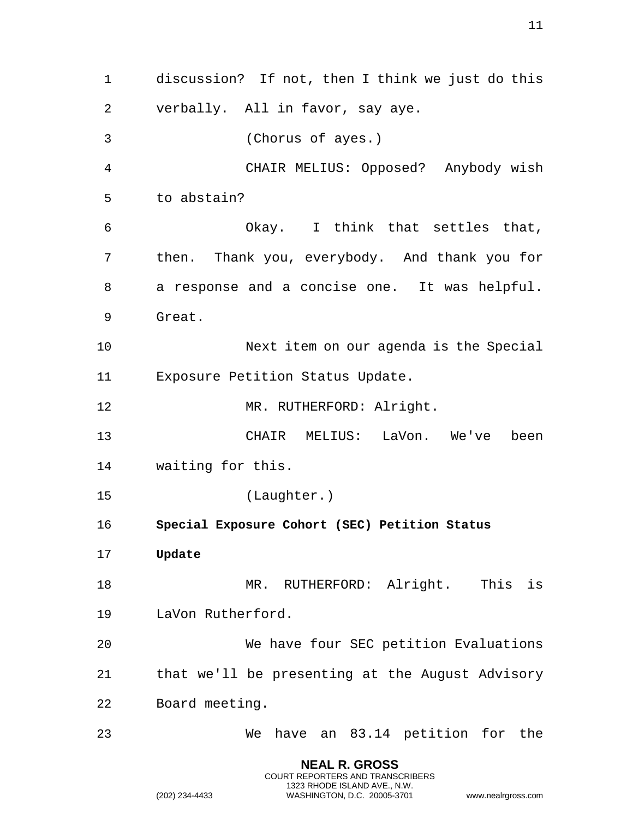**NEAL R. GROSS** discussion? If not, then I think we just do this verbally. All in favor, say aye. (Chorus of ayes.) CHAIR MELIUS: Opposed? Anybody wish to abstain? Okay. I think that settles that, then. Thank you, everybody. And thank you for a response and a concise one. It was helpful. Great. Next item on our agenda is the Special Exposure Petition Status Update. 12 MR. RUTHERFORD: Alright. CHAIR MELIUS: LaVon. We've been waiting for this. (Laughter.) **Special Exposure Cohort (SEC) Petition Status Update** 18 MR. RUTHERFORD: Alright. This is LaVon Rutherford. We have four SEC petition Evaluations that we'll be presenting at the August Advisory Board meeting. We have an 83.14 petition for the

> COURT REPORTERS AND TRANSCRIBERS 1323 RHODE ISLAND AVE., N.W.

<span id="page-10-1"></span><span id="page-10-0"></span>(202) 234-4433 WASHINGTON, D.C. 20005-3701 www.nealrgross.com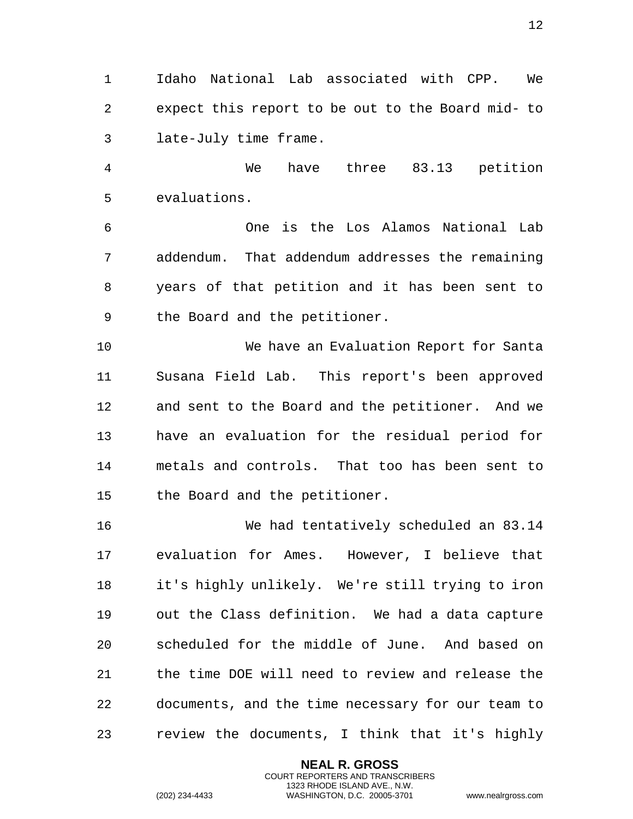Idaho National Lab associated with CPP. We expect this report to be out to the Board mid- to late-July time frame.

 We have three 83.13 petition evaluations.

 One is the Los Alamos National Lab addendum. That addendum addresses the remaining years of that petition and it has been sent to the Board and the petitioner.

 We have an Evaluation Report for Santa Susana Field Lab. This report's been approved and sent to the Board and the petitioner. And we have an evaluation for the residual period for metals and controls. That too has been sent to the Board and the petitioner.

 We had tentatively scheduled an 83.14 evaluation for Ames. However, I believe that it's highly unlikely. We're still trying to iron out the Class definition. We had a data capture scheduled for the middle of June. And based on the time DOE will need to review and release the documents, and the time necessary for our team to review the documents, I think that it's highly

> **NEAL R. GROSS** COURT REPORTERS AND TRANSCRIBERS 1323 RHODE ISLAND AVE., N.W.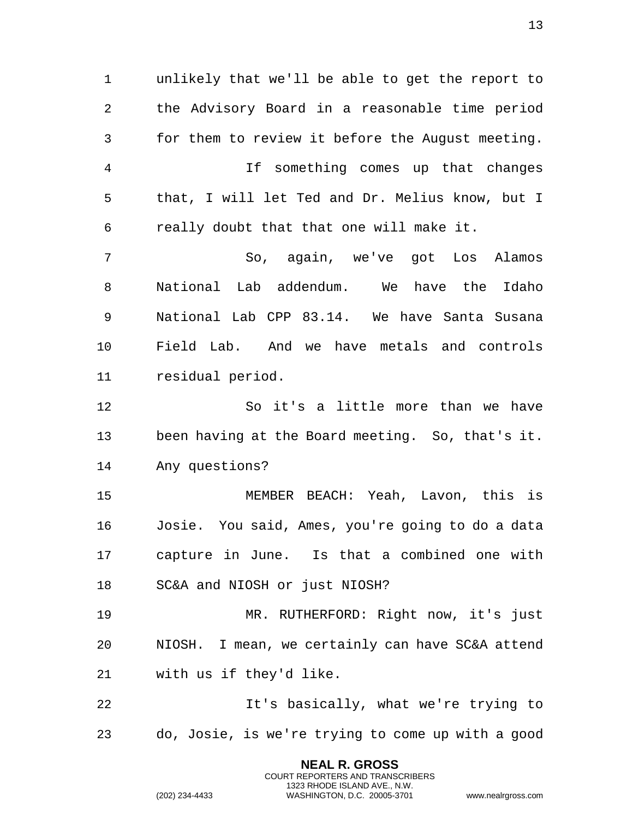unlikely that we'll be able to get the report to the Advisory Board in a reasonable time period for them to review it before the August meeting. If something comes up that changes that, I will let Ted and Dr. Melius know, but I really doubt that that one will make it. So, again, we've got Los Alamos National Lab addendum. We have the Idaho National Lab CPP 83.14. We have Santa Susana Field Lab. And we have metals and controls residual period. So it's a little more than we have been having at the Board meeting. So, that's it. Any questions? MEMBER BEACH: Yeah, Lavon, this is Josie. You said, Ames, you're going to do a data capture in June. Is that a combined one with SC&A and NIOSH or just NIOSH? MR. RUTHERFORD: Right now, it's just NIOSH. I mean, we certainly can have SC&A attend with us if they'd like. It's basically, what we're trying to do, Josie, is we're trying to come up with a good

> **NEAL R. GROSS** COURT REPORTERS AND TRANSCRIBERS 1323 RHODE ISLAND AVE., N.W.

(202) 234-4433 WASHINGTON, D.C. 20005-3701 www.nealrgross.com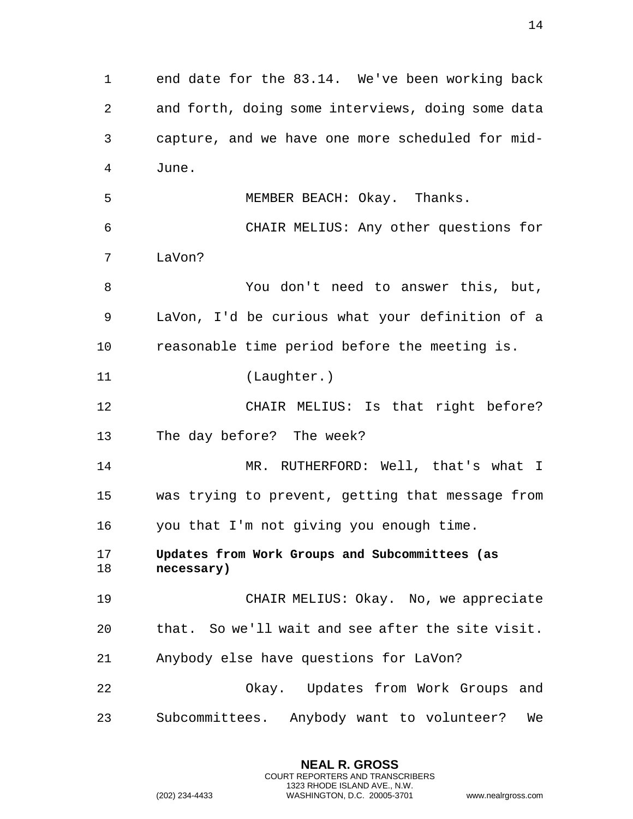end date for the 83.14. We've been working back and forth, doing some interviews, doing some data capture, and we have one more scheduled for mid- June. MEMBER BEACH: Okay. Thanks. CHAIR MELIUS: Any other questions for LaVon? You don't need to answer this, but, LaVon, I'd be curious what your definition of a reasonable time period before the meeting is. (Laughter.) CHAIR MELIUS: Is that right before? The day before? The week? 14 MR. RUTHERFORD: Well, that's what I was trying to prevent, getting that message from you that I'm not giving you enough time. **Updates from Work Groups and Subcommittees (as necessary)** CHAIR MELIUS: Okay. No, we appreciate that. So we'll wait and see after the site visit. Anybody else have questions for LaVon? Okay. Updates from Work Groups and Subcommittees. Anybody want to volunteer? We

> <span id="page-13-0"></span>**NEAL R. GROSS** COURT REPORTERS AND TRANSCRIBERS 1323 RHODE ISLAND AVE., N.W.

(202) 234-4433 WASHINGTON, D.C. 20005-3701 www.nealrgross.com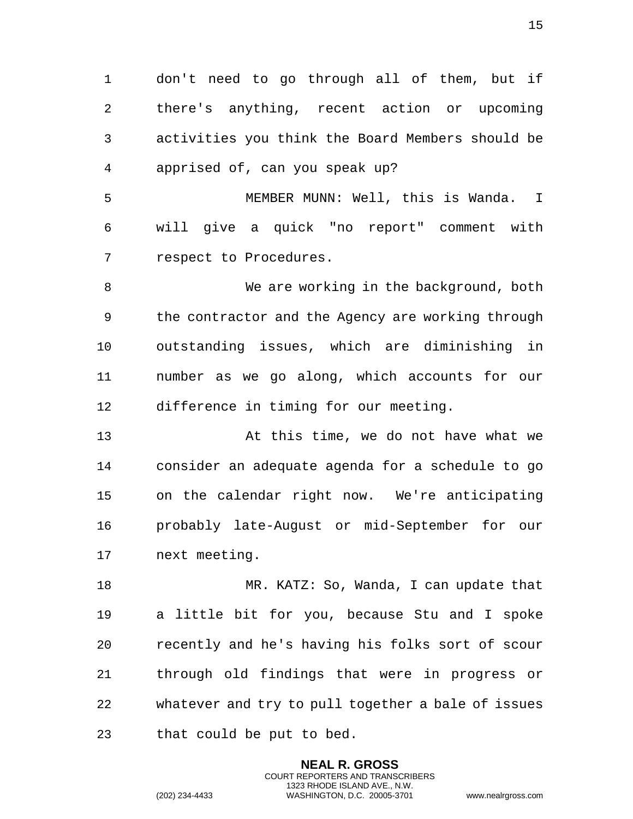don't need to go through all of them, but if there's anything, recent action or upcoming activities you think the Board Members should be apprised of, can you speak up?

 MEMBER MUNN: Well, this is Wanda. I will give a quick "no report" comment with respect to Procedures.

 We are working in the background, both the contractor and the Agency are working through outstanding issues, which are diminishing in number as we go along, which accounts for our difference in timing for our meeting.

 At this time, we do not have what we consider an adequate agenda for a schedule to go on the calendar right now. We're anticipating probably late-August or mid-September for our next meeting.

 MR. KATZ: So, Wanda, I can update that a little bit for you, because Stu and I spoke recently and he's having his folks sort of scour through old findings that were in progress or whatever and try to pull together a bale of issues that could be put to bed.

> **NEAL R. GROSS** COURT REPORTERS AND TRANSCRIBERS 1323 RHODE ISLAND AVE., N.W.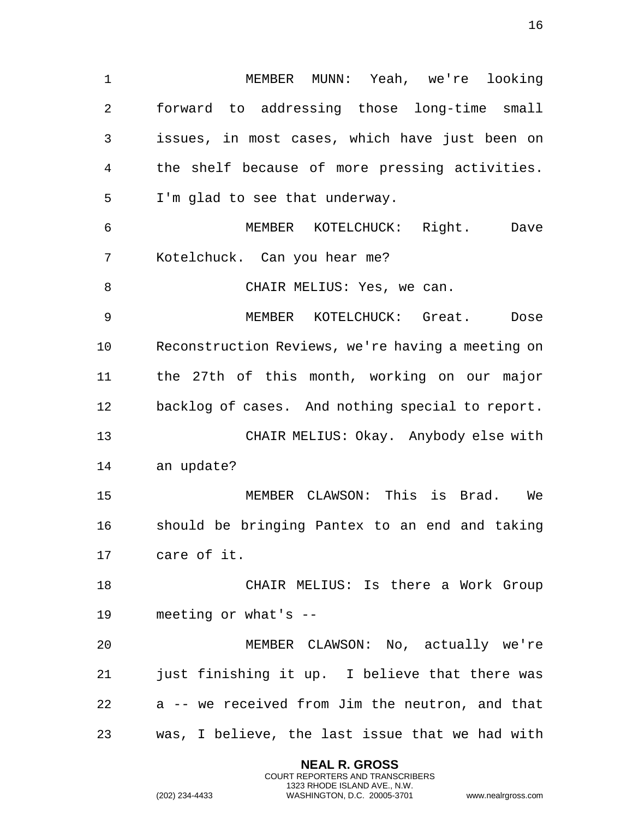1 MEMBER MUNN: Yeah, we're looking 2 forward to addressing those long-time small 3 issues, in most cases, which have just been on 4 the shelf because of more pressing activities. 5 I'm glad to see that underway. 6 MEMBER KOTELCHUCK: Right. Dave 7 Kotelchuck. Can you hear me? 8 CHAIR MELIUS: Yes, we can. 9 MEMBER KOTELCHUCK: Great. Dose 10 Reconstruction Reviews, we're having a meeting on 11 the 27th of this month, working on our major 12 backlog of cases. And nothing special to report. 13 CHAIR MELIUS: Okay. Anybody else with 14 an update? 15 MEMBER CLAWSON: This is Brad. We 16 should be bringing Pantex to an end and taking 17 care of it. 18 CHAIR MELIUS: Is there a Work Group 19 meeting or what's -- 20 MEMBER CLAWSON: No, actually we're 21 just finishing it up. I believe that there was 22 a -- we received from Jim the neutron, and that 23 was, I believe, the last issue that we had with

> **NEAL R. GROSS** COURT REPORTERS AND TRANSCRIBERS 1323 RHODE ISLAND AVE., N.W.

(202) 234-4433 WASHINGTON, D.C. 20005-3701 www.nealrgross.com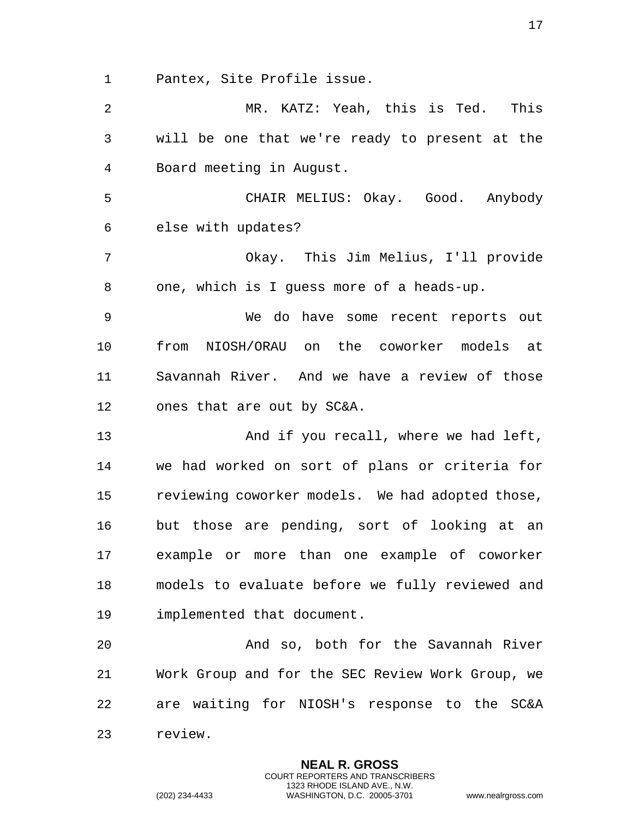1 Pantex, Site Profile issue.

2 MR. KATZ: Yeah, this is Ted. This 3 will be one that we're ready to present at the 4 Board meeting in August. 5 CHAIR MELIUS: Okay. Good. Anybody 6 else with updates? 7 Okay. This Jim Melius, I'll provide 8 one, which is I guess more of a heads-up. 9 We do have some recent reports out 10 from NIOSH/ORAU on the coworker models at 11 Savannah River. And we have a review of those 12 ones that are out by SC&A. 13 And if you recall, where we had left, 14 we had worked on sort of plans or criteria for 15 reviewing coworker models. We had adopted those, 16 but those are pending, sort of looking at an 17 example or more than one example of coworker 18 models to evaluate before we fully reviewed and 19 implemented that document. 20 And so, both for the Savannah River 21 Work Group and for the SEC Review Work Group, we 22 are waiting for NIOSH's response to the SC&A 23 review.

> **NEAL R. GROSS** COURT REPORTERS AND TRANSCRIBERS 1323 RHODE ISLAND AVE., N.W.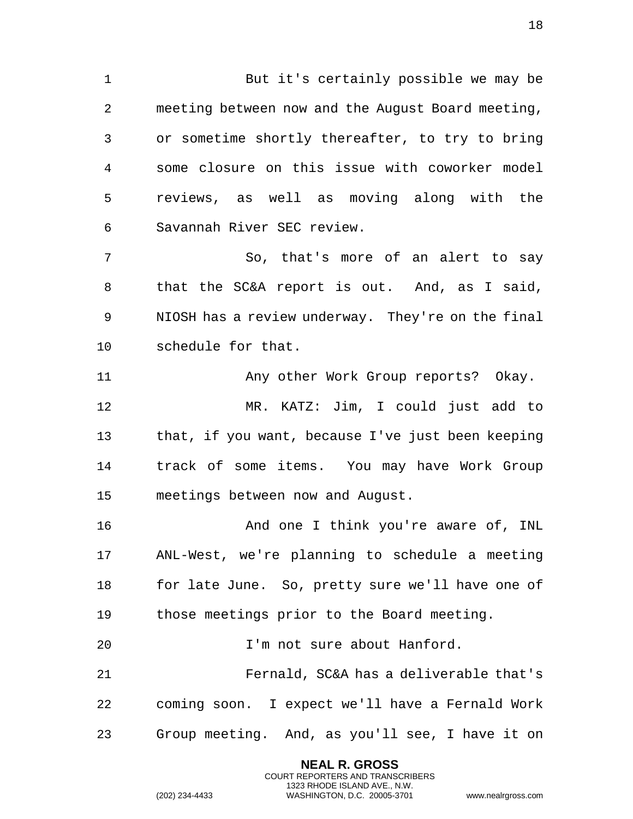But it's certainly possible we may be meeting between now and the August Board meeting, or sometime shortly thereafter, to try to bring some closure on this issue with coworker model reviews, as well as moving along with the Savannah River SEC review.

 So, that's more of an alert to say that the SC&A report is out. And, as I said, NIOSH has a review underway. They're on the final schedule for that.

 Any other Work Group reports? Okay. MR. KATZ: Jim, I could just add to that, if you want, because I've just been keeping track of some items. You may have Work Group meetings between now and August.

**And one I think you're aware of, INL**  ANL-West, we're planning to schedule a meeting for late June. So, pretty sure we'll have one of those meetings prior to the Board meeting.

I'm not sure about Hanford.

 Fernald, SC&A has a deliverable that's coming soon. I expect we'll have a Fernald Work Group meeting. And, as you'll see, I have it on

> **NEAL R. GROSS** COURT REPORTERS AND TRANSCRIBERS 1323 RHODE ISLAND AVE., N.W.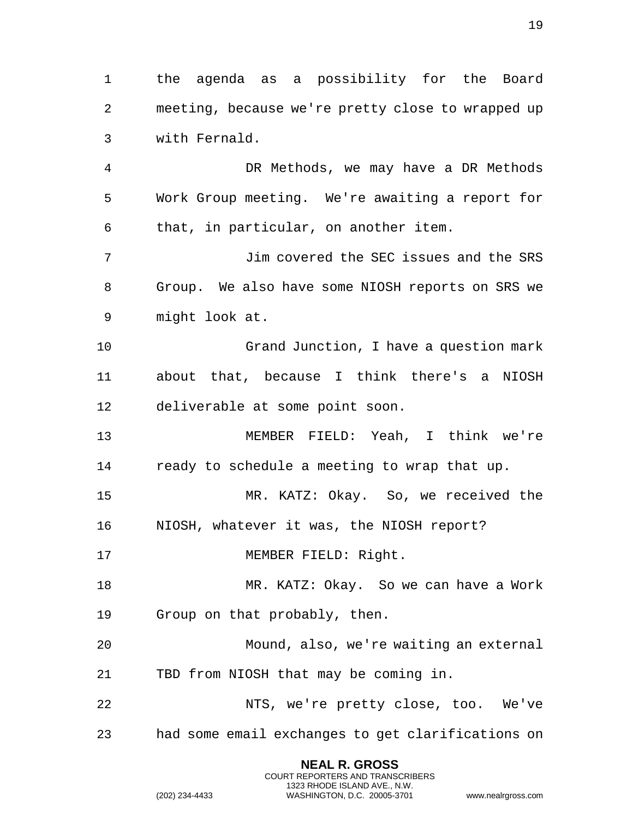the agenda as a possibility for the Board meeting, because we're pretty close to wrapped up with Fernald.

 DR Methods, we may have a DR Methods Work Group meeting. We're awaiting a report for that, in particular, on another item.

 Jim covered the SEC issues and the SRS Group. We also have some NIOSH reports on SRS we might look at.

 Grand Junction, I have a question mark about that, because I think there's a NIOSH deliverable at some point soon.

 MEMBER FIELD: Yeah, I think we're ready to schedule a meeting to wrap that up.

 MR. KATZ: Okay. So, we received the NIOSH, whatever it was, the NIOSH report?

17 MEMBER FIELD: Right.

 MR. KATZ: Okay. So we can have a Work Group on that probably, then.

 Mound, also, we're waiting an external TBD from NIOSH that may be coming in.

 NTS, we're pretty close, too. We've had some email exchanges to get clarifications on

> **NEAL R. GROSS** COURT REPORTERS AND TRANSCRIBERS 1323 RHODE ISLAND AVE., N.W.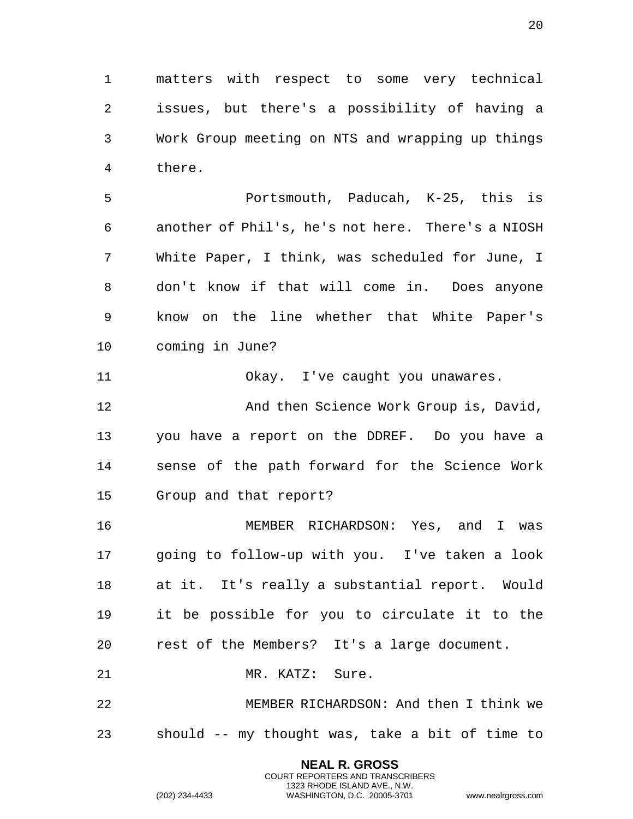matters with respect to some very technical issues, but there's a possibility of having a Work Group meeting on NTS and wrapping up things there.

 Portsmouth, Paducah, K-25, this is another of Phil's, he's not here. There's a NIOSH White Paper, I think, was scheduled for June, I don't know if that will come in. Does anyone know on the line whether that White Paper's coming in June?

 Okay. I've caught you unawares. **And then Science Work Group is, David,**  you have a report on the DDREF. Do you have a sense of the path forward for the Science Work Group and that report?

 MEMBER RICHARDSON: Yes, and I was going to follow-up with you. I've taken a look at it. It's really a substantial report. Would it be possible for you to circulate it to the rest of the Members? It's a large document.

MR. KATZ: Sure.

 MEMBER RICHARDSON: And then I think we should -- my thought was, take a bit of time to

> **NEAL R. GROSS** COURT REPORTERS AND TRANSCRIBERS 1323 RHODE ISLAND AVE., N.W.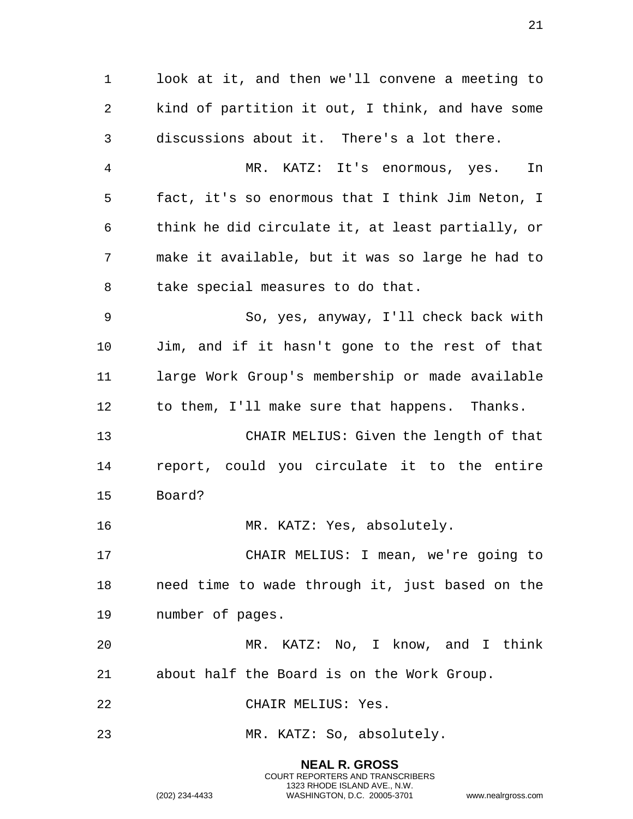1 look at it, and then we'll convene a meeting to 2 kind of partition it out, I think, and have some 3 discussions about it. There's a lot there. 4 MR. KATZ: It's enormous, yes. In 5 fact, it's so enormous that I think Jim Neton, I 6 think he did circulate it, at least partially, or 7 make it available, but it was so large he had to 8 take special measures to do that. 9 So, yes, anyway, I'll check back with 10 Jim, and if it hasn't gone to the rest of that 11 large Work Group's membership or made available 12 to them, I'll make sure that happens. Thanks. 13 CHAIR MELIUS: Given the length of that 14 report, could you circulate it to the entire 15 Board? 16 MR. KATZ: Yes, absolutely. 17 CHAIR MELIUS: I mean, we're going to 18 need time to wade through it, just based on the 19 number of pages. 20 MR. KATZ: No, I know, and I think 21 about half the Board is on the Work Group. 22 CHAIR MELIUS: Yes. 23 MR. KATZ: So, absolutely.

> **NEAL R. GROSS** COURT REPORTERS AND TRANSCRIBERS 1323 RHODE ISLAND AVE., N.W. (202) 234-4433 WASHINGTON, D.C. 20005-3701 www.nealrgross.com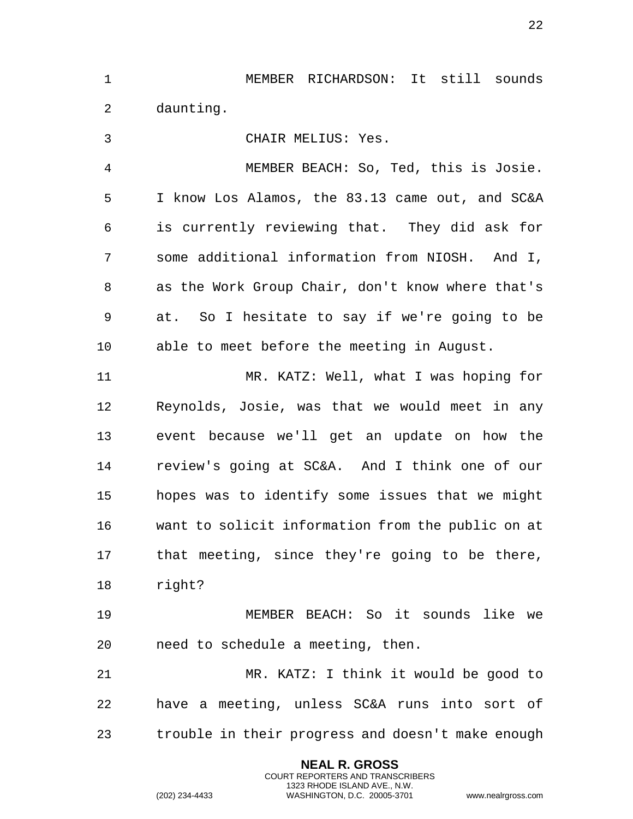MEMBER RICHARDSON: It still sounds daunting.

 CHAIR MELIUS: Yes. MEMBER BEACH: So, Ted, this is Josie. I know Los Alamos, the 83.13 came out, and SC&A is currently reviewing that. They did ask for some additional information from NIOSH. And I, as the Work Group Chair, don't know where that's at. So I hesitate to say if we're going to be able to meet before the meeting in August. MR. KATZ: Well, what I was hoping for Reynolds, Josie, was that we would meet in any event because we'll get an update on how the review's going at SC&A. And I think one of our hopes was to identify some issues that we might want to solicit information from the public on at that meeting, since they're going to be there, right? MEMBER BEACH: So it sounds like we

 MR. KATZ: I think it would be good to have a meeting, unless SC&A runs into sort of trouble in their progress and doesn't make enough

need to schedule a meeting, then.

**NEAL R. GROSS** COURT REPORTERS AND TRANSCRIBERS 1323 RHODE ISLAND AVE., N.W.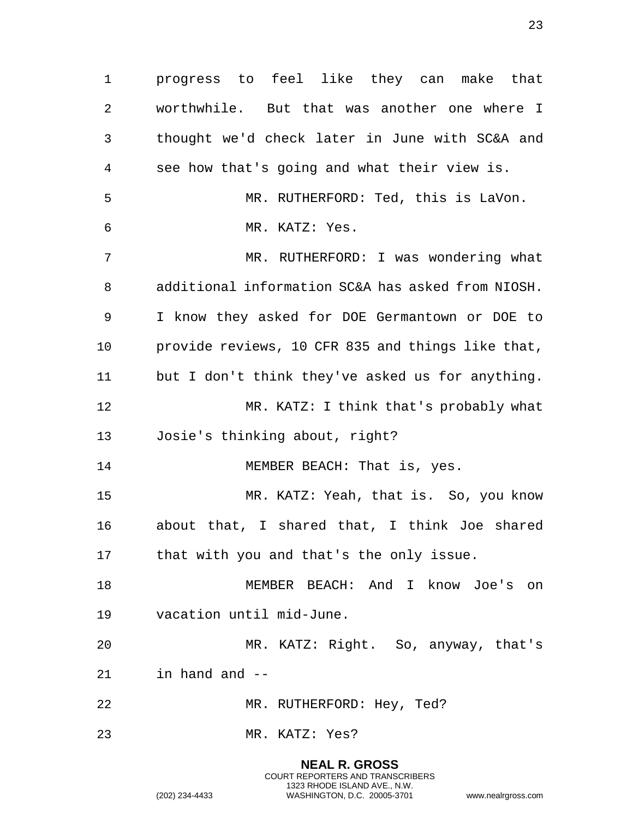progress to feel like they can make that worthwhile. But that was another one where I thought we'd check later in June with SC&A and see how that's going and what their view is. MR. RUTHERFORD: Ted, this is LaVon. MR. KATZ: Yes. MR. RUTHERFORD: I was wondering what additional information SC&A has asked from NIOSH. I know they asked for DOE Germantown or DOE to provide reviews, 10 CFR 835 and things like that, but I don't think they've asked us for anything. MR. KATZ: I think that's probably what Josie's thinking about, right? 14 MEMBER BEACH: That is, yes. MR. KATZ: Yeah, that is. So, you know about that, I shared that, I think Joe shared that with you and that's the only issue. MEMBER BEACH: And I know Joe's on vacation until mid-June. MR. KATZ: Right. So, anyway, that's in hand and -- MR. RUTHERFORD: Hey, Ted? MR. KATZ: Yes?

> **NEAL R. GROSS** COURT REPORTERS AND TRANSCRIBERS 1323 RHODE ISLAND AVE., N.W.

(202) 234-4433 WASHINGTON, D.C. 20005-3701 www.nealrgross.com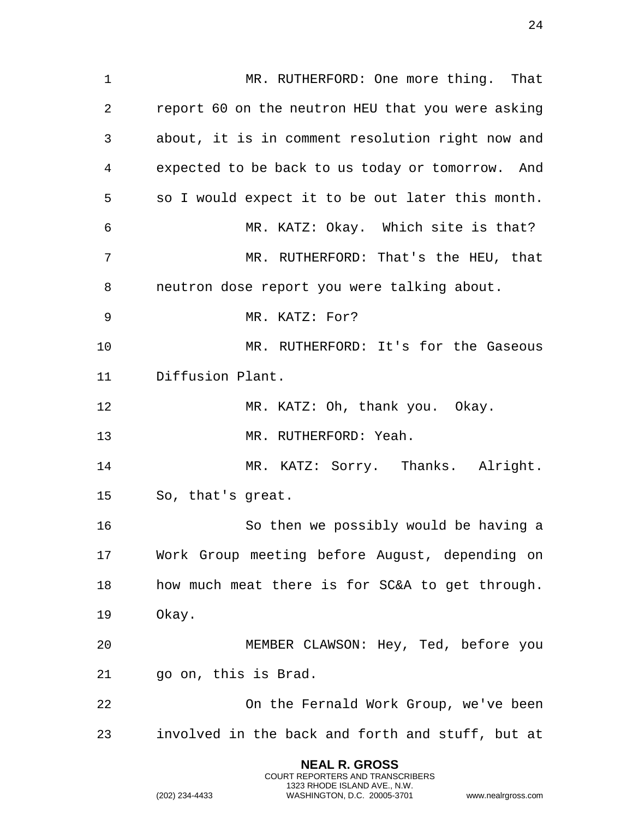1 MR. RUTHERFORD: One more thing. That report 60 on the neutron HEU that you were asking about, it is in comment resolution right now and expected to be back to us today or tomorrow. And so I would expect it to be out later this month. MR. KATZ: Okay. Which site is that? MR. RUTHERFORD: That's the HEU, that neutron dose report you were talking about. MR. KATZ: For? MR. RUTHERFORD: It's for the Gaseous Diffusion Plant. MR. KATZ: Oh, thank you. Okay. MR. RUTHERFORD: Yeah. 14 MR. KATZ: Sorry. Thanks. Alright. So, that's great. So then we possibly would be having a Work Group meeting before August, depending on how much meat there is for SC&A to get through. Okay. MEMBER CLAWSON: Hey, Ted, before you go on, this is Brad. On the Fernald Work Group, we've been involved in the back and forth and stuff, but at

> **NEAL R. GROSS** COURT REPORTERS AND TRANSCRIBERS 1323 RHODE ISLAND AVE., N.W.

(202) 234-4433 WASHINGTON, D.C. 20005-3701 www.nealrgross.com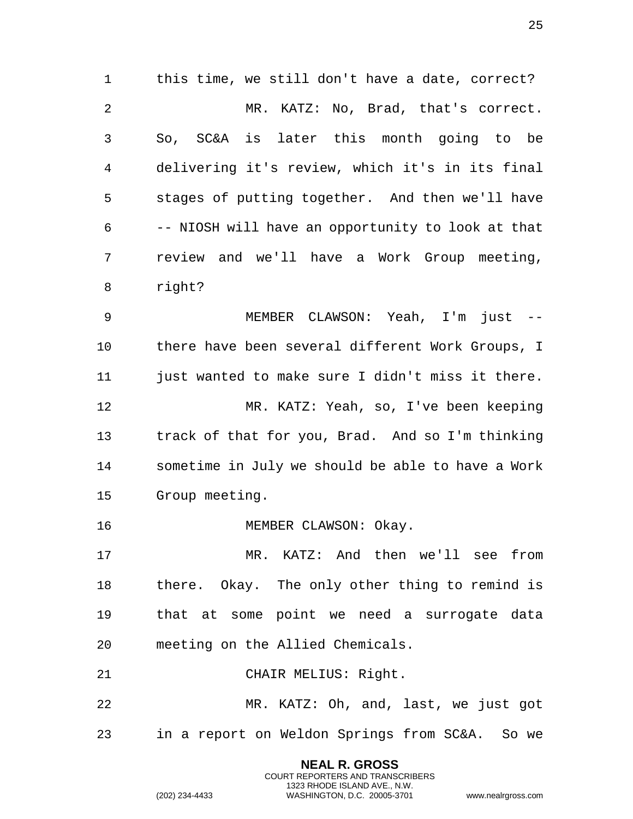this time, we still don't have a date, correct? MR. KATZ: No, Brad, that's correct. So, SC&A is later this month going to be delivering it's review, which it's in its final stages of putting together. And then we'll have -- NIOSH will have an opportunity to look at that review and we'll have a Work Group meeting, right? MEMBER CLAWSON: Yeah, I'm just --

 there have been several different Work Groups, I just wanted to make sure I didn't miss it there. MR. KATZ: Yeah, so, I've been keeping track of that for you, Brad. And so I'm thinking sometime in July we should be able to have a Work Group meeting.

16 MEMBER CLAWSON: Okay.

 MR. KATZ: And then we'll see from there. Okay. The only other thing to remind is that at some point we need a surrogate data meeting on the Allied Chemicals.

CHAIR MELIUS: Right.

 MR. KATZ: Oh, and, last, we just got in a report on Weldon Springs from SC&A. So we

> **NEAL R. GROSS** COURT REPORTERS AND TRANSCRIBERS 1323 RHODE ISLAND AVE., N.W.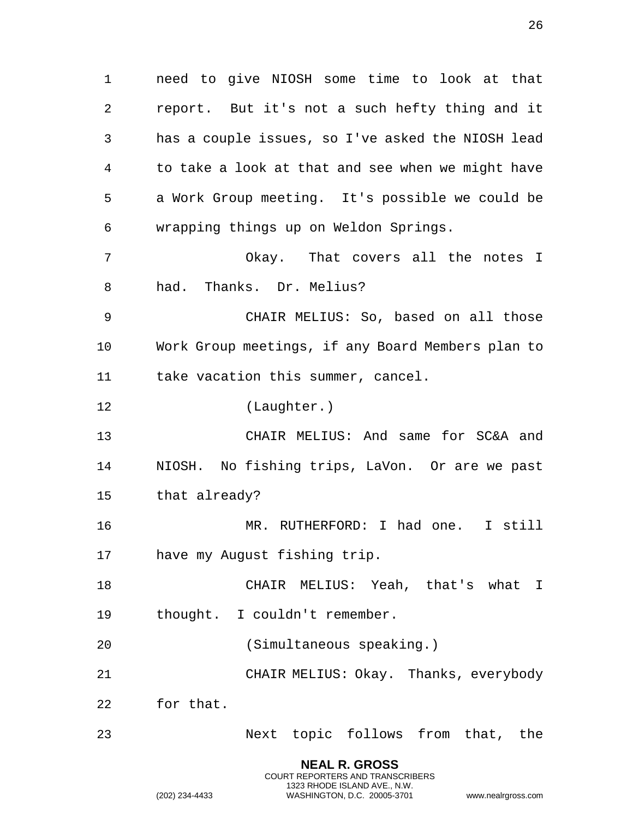1 need to give NIOSH some time to look at that 2 report. But it's not a such hefty thing and it 3 has a couple issues, so I've asked the NIOSH lead 4 to take a look at that and see when we might have 5 a Work Group meeting. It's possible we could be 6 wrapping things up on Weldon Springs. 7 Okay. That covers all the notes I 8 had. Thanks. Dr. Melius?

9 CHAIR MELIUS: So, based on all those 10 Work Group meetings, if any Board Members plan to 11 take vacation this summer, cancel.

12 (Laughter.)

13 CHAIR MELIUS: And same for SC&A and 14 NIOSH. No fishing trips, LaVon. Or are we past 15 that already?

16 MR. RUTHERFORD: I had one. I still 17 have my August fishing trip.

18 CHAIR MELIUS: Yeah, that's what I 19 thought. I couldn't remember.

20 (Simultaneous speaking.)

21 CHAIR MELIUS: Okay. Thanks, everybody

22 for that.

23 Next topic follows from that, the

**NEAL R. GROSS** COURT REPORTERS AND TRANSCRIBERS 1323 RHODE ISLAND AVE., N.W.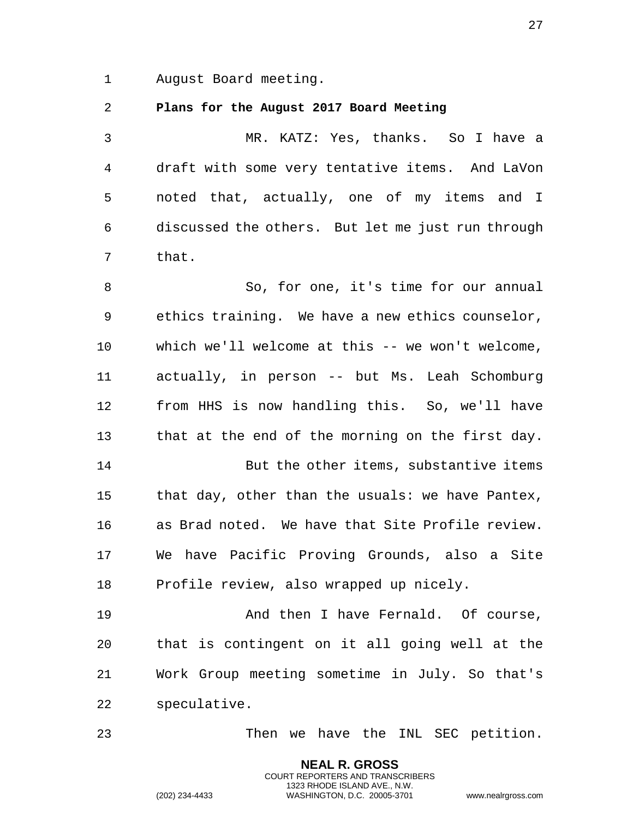1 August Board meeting.

## <span id="page-26-0"></span>2 **Plans for the August 2017 Board Meeting**

3 MR. KATZ: Yes, thanks. So I have a 4 draft with some very tentative items. And LaVon 5 noted that, actually, one of my items and I 6 discussed the others. But let me just run through 7 that.

8 So, for one, it's time for our annual 9 ethics training. We have a new ethics counselor, 10 which we'll welcome at this -- we won't welcome, 11 actually, in person -- but Ms. Leah Schomburg 12 from HHS is now handling this. So, we'll have 13 that at the end of the morning on the first day.

14 But the other items, substantive items 15 that day, other than the usuals: we have Pantex, 16 as Brad noted. We have that Site Profile review. 17 We have Pacific Proving Grounds, also a Site 18 Profile review, also wrapped up nicely.

19 **And then I have Fernald.** Of course, 20 that is contingent on it all going well at the 21 Work Group meeting sometime in July. So that's 22 speculative.

> **NEAL R. GROSS** COURT REPORTERS AND TRANSCRIBERS 1323 RHODE ISLAND AVE., N.W.

23 Then we have the INL SEC petition.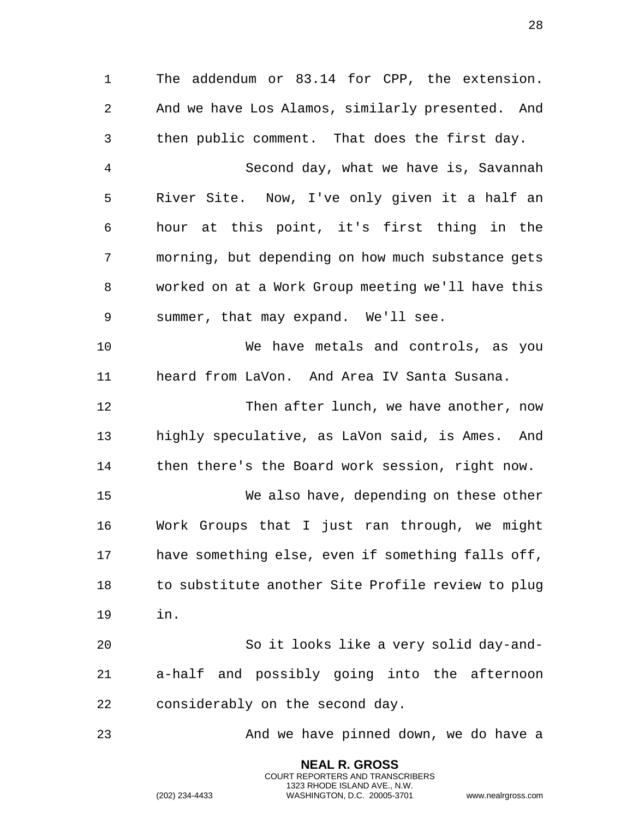The addendum or 83.14 for CPP, the extension. And we have Los Alamos, similarly presented. And then public comment. That does the first day. Second day, what we have is, Savannah River Site. Now, I've only given it a half an hour at this point, it's first thing in the morning, but depending on how much substance gets worked on at a Work Group meeting we'll have this summer, that may expand. We'll see. We have metals and controls, as you heard from LaVon. And Area IV Santa Susana. Then after lunch, we have another, now

 highly speculative, as LaVon said, is Ames. And then there's the Board work session, right now.

 We also have, depending on these other Work Groups that I just ran through, we might have something else, even if something falls off, to substitute another Site Profile review to plug in.

 So it looks like a very solid day-and- a-half and possibly going into the afternoon considerably on the second day.

And we have pinned down, we do have a

**NEAL R. GROSS** COURT REPORTERS AND TRANSCRIBERS 1323 RHODE ISLAND AVE., N.W.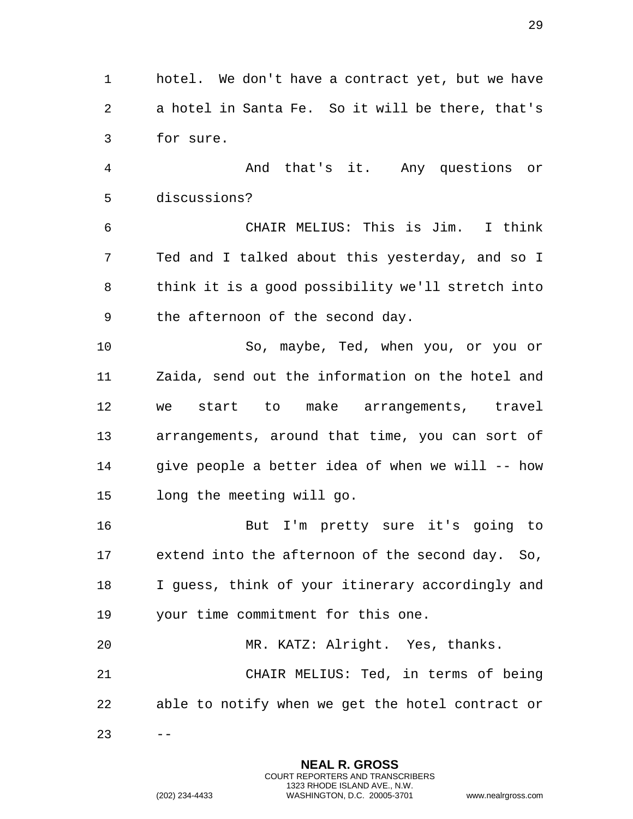1 hotel. We don't have a contract yet, but we have 2 a hotel in Santa Fe. So it will be there, that's 3 for sure.

4 And that's it. Any questions or 5 discussions?

6 CHAIR MELIUS: This is Jim. I think 7 Ted and I talked about this yesterday, and so I 8 think it is a good possibility we'll stretch into 9 the afternoon of the second day.

10 So, maybe, Ted, when you, or you or 11 Zaida, send out the information on the hotel and 12 we start to make arrangements, travel 13 arrangements, around that time, you can sort of 14 give people a better idea of when we will -- how 15 long the meeting will go.

16 But I'm pretty sure it's going to 17 extend into the afternoon of the second day. So, 18 I guess, think of your itinerary accordingly and 19 your time commitment for this one.

20 MR. KATZ: Alright. Yes, thanks. 21 CHAIR MELIUS: Ted, in terms of being 22 able to notify when we get the hotel contract or

> **NEAL R. GROSS** COURT REPORTERS AND TRANSCRIBERS 1323 RHODE ISLAND AVE., N.W.

 $23 - -$ 

29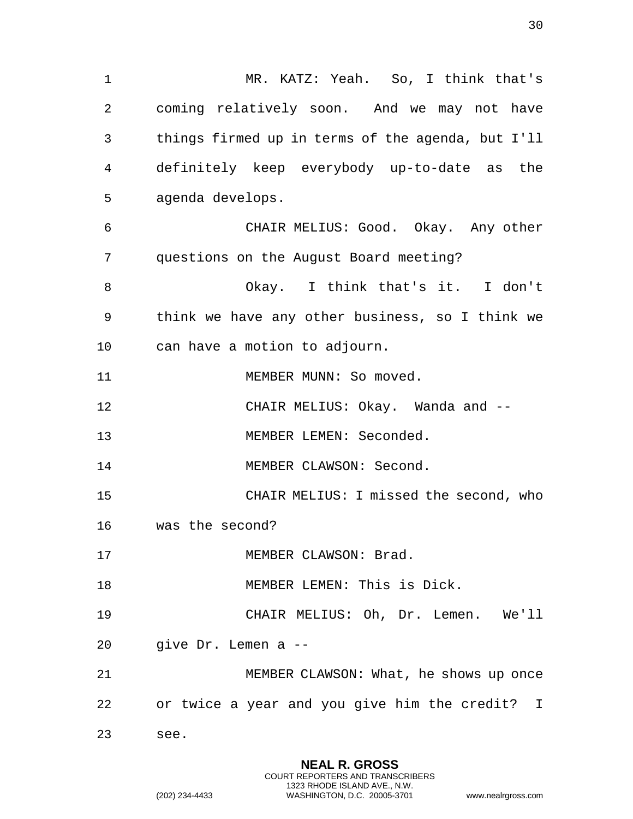1 MR. KATZ: Yeah. So, I think that's 2 coming relatively soon. And we may not have 3 things firmed up in terms of the agenda, but I'll 4 definitely keep everybody up-to-date as the 5 agenda develops. 6 CHAIR MELIUS: Good. Okay. Any other 7 questions on the August Board meeting? 8 Okay. I think that's it. I don't 9 think we have any other business, so I think we 10 can have a motion to adjourn. 11 MEMBER MUNN: So moved. 12 CHAIR MELIUS: Okay. Wanda and -- 13 MEMBER LEMEN: Seconded. 14 MEMBER CLAWSON: Second. 15 CHAIR MELIUS: I missed the second, who 16 was the second? 17 MEMBER CLAWSON: Brad. 18 MEMBER LEMEN: This is Dick. 19 CHAIR MELIUS: Oh, Dr. Lemen. We'll 20 give Dr. Lemen a -- 21 MEMBER CLAWSON: What, he shows up once 22 or twice a year and you give him the credit? I 23 see.

> **NEAL R. GROSS** COURT REPORTERS AND TRANSCRIBERS 1323 RHODE ISLAND AVE., N.W.

(202) 234-4433 WASHINGTON, D.C. 20005-3701 www.nealrgross.com